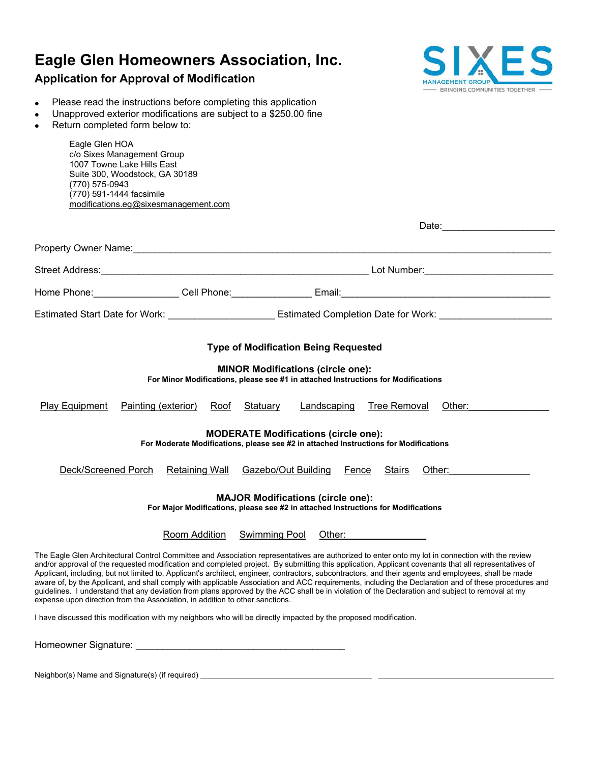# **Eagle Glen Homeowners Association, Inc.**

## **Application for Approval of Modification**



Date:

- Please read the instructions before completing this application
- Unapproved exterior modifications are subject to a \$250.00 fine
- Return completed form below to:

Eagle Glen HOA c/o Sixes Management Group 1007 Towne Lake Hills East Suite 300, Woodstock, GA 30189 (770) 575-0943 (770) 591-1444 facsimile modifications.eg@sixesmanagement.com

|                                                                                                                                     |                       | Estimated Start Date for Work: _________________________ Estimated Completion Date for Work: _______________________                                                                                                                                                                                                                                                                                                                                                                                                                                                                                                                                                                                                                                                          |  |
|-------------------------------------------------------------------------------------------------------------------------------------|-----------------------|-------------------------------------------------------------------------------------------------------------------------------------------------------------------------------------------------------------------------------------------------------------------------------------------------------------------------------------------------------------------------------------------------------------------------------------------------------------------------------------------------------------------------------------------------------------------------------------------------------------------------------------------------------------------------------------------------------------------------------------------------------------------------------|--|
|                                                                                                                                     |                       | <b>Type of Modification Being Requested</b>                                                                                                                                                                                                                                                                                                                                                                                                                                                                                                                                                                                                                                                                                                                                   |  |
|                                                                                                                                     |                       | <b>MINOR Modifications (circle one):</b><br>For Minor Modifications, please see #1 in attached Instructions for Modifications                                                                                                                                                                                                                                                                                                                                                                                                                                                                                                                                                                                                                                                 |  |
| Painting (exterior)<br><b>Play Equipment</b>                                                                                        | Roof                  | <b>Tree Removal</b><br>Statuary<br>Landscaping<br>Other:                                                                                                                                                                                                                                                                                                                                                                                                                                                                                                                                                                                                                                                                                                                      |  |
| <b>MODERATE Modifications (circle one):</b><br>For Moderate Modifications, please see #2 in attached Instructions for Modifications |                       |                                                                                                                                                                                                                                                                                                                                                                                                                                                                                                                                                                                                                                                                                                                                                                               |  |
| Deck/Screened Porch                                                                                                                 | <b>Retaining Wall</b> | Gazebo/Out Building<br><b>Stairs</b><br>Other:<br>Fence                                                                                                                                                                                                                                                                                                                                                                                                                                                                                                                                                                                                                                                                                                                       |  |
| <b>MAJOR Modifications (circle one):</b><br>For Major Modifications, please see #2 in attached Instructions for Modifications       |                       |                                                                                                                                                                                                                                                                                                                                                                                                                                                                                                                                                                                                                                                                                                                                                                               |  |
|                                                                                                                                     | Room Addition         | <b>Swimming Pool</b><br>Other: and the contract of the contract of the contract of the contract of the contract of the contract of the                                                                                                                                                                                                                                                                                                                                                                                                                                                                                                                                                                                                                                        |  |
| expense upon direction from the Association, in addition to other sanctions.                                                        |                       | The Eagle Glen Architectural Control Committee and Association representatives are authorized to enter onto my lot in connection with the review<br>and/or approval of the requested modification and completed project. By submitting this application, Applicant covenants that all representatives of<br>Applicant, including, but not limited to, Applicant's architect, engineer, contractors, subcontractors, and their agents and employees, shall be made<br>aware of, by the Applicant, and shall comply with applicable Association and ACC requirements, including the Declaration and of these procedures and<br>guidelines. I understand that any deviation from plans approved by the ACC shall be in violation of the Declaration and subject to removal at my |  |
|                                                                                                                                     |                       | I have discussed this modification with my neighbors who will be directly impacted by the proposed modification.                                                                                                                                                                                                                                                                                                                                                                                                                                                                                                                                                                                                                                                              |  |
| Homeowner Signature:                                                                                                                |                       |                                                                                                                                                                                                                                                                                                                                                                                                                                                                                                                                                                                                                                                                                                                                                                               |  |

Neighbor(s) Name and Signature(s) (if required) \_\_\_\_\_\_\_\_\_\_\_\_\_\_\_\_\_\_\_\_\_\_\_\_\_\_\_\_\_\_\_\_\_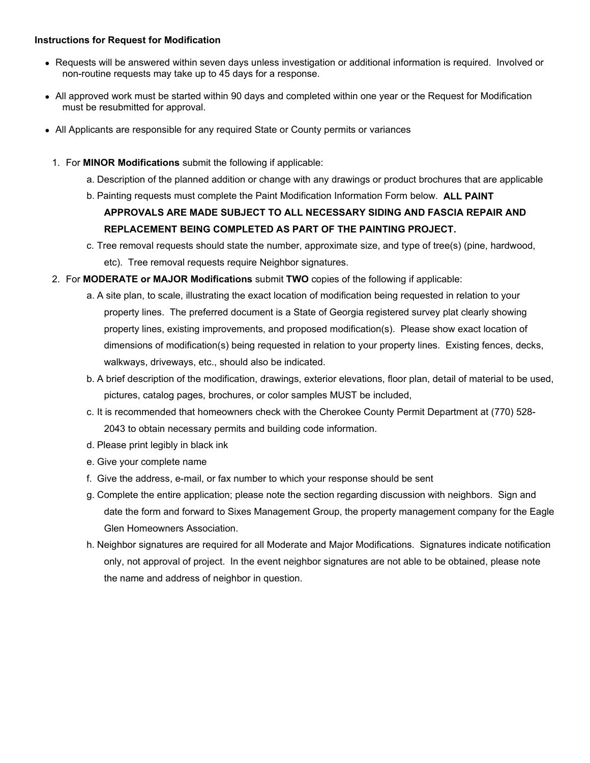#### **Instructions for Request for Modification**

- Requests will be answered within seven days unless investigation or additional information is required. Involved or non-routine requests may take up to 45 days for a response.
- All approved work must be started within 90 days and completed within one year or the Request for Modification must be resubmitted for approval.
- All Applicants are responsible for any required State or County permits or variances
	- 1. For **MINOR Modifications** submit the following if applicable:
		- a. Description of the planned addition or change with any drawings or product brochures that are applicable
		- b. Painting requests must complete the Paint Modification Information Form below. **ALL PAINT**

### **APPROVALS ARE MADE SUBJECT TO ALL NECESSARY SIDING AND FASCIA REPAIR AND REPLACEMENT BEING COMPLETED AS PART OF THE PAINTING PROJECT.**

- c. Tree removal requests should state the number, approximate size, and type of tree(s) (pine, hardwood, etc). Tree removal requests require Neighbor signatures.
- 2. For **MODERATE or MAJOR Modifications** submit **TWO** copies of the following if applicable:
	- a. A site plan, to scale, illustrating the exact location of modification being requested in relation to your property lines. The preferred document is a State of Georgia registered survey plat clearly showing property lines, existing improvements, and proposed modification(s). Please show exact location of dimensions of modification(s) being requested in relation to your property lines. Existing fences, decks, walkways, driveways, etc., should also be indicated.
	- b. A brief description of the modification, drawings, exterior elevations, floor plan, detail of material to be used, pictures, catalog pages, brochures, or color samples MUST be included,
	- c. It is recommended that homeowners check with the Cherokee County Permit Department at (770) 528- 2043 to obtain necessary permits and building code information.
	- d. Please print legibly in black ink
	- e. Give your complete name
	- f. Give the address, e-mail, or fax number to which your response should be sent
	- g. Complete the entire application; please note the section regarding discussion with neighbors. Sign and date the form and forward to Sixes Management Group, the property management company for the Eagle Glen Homeowners Association.
	- h. Neighbor signatures are required for all Moderate and Major Modifications. Signatures indicate notification only, not approval of project. In the event neighbor signatures are not able to be obtained, please note the name and address of neighbor in question.